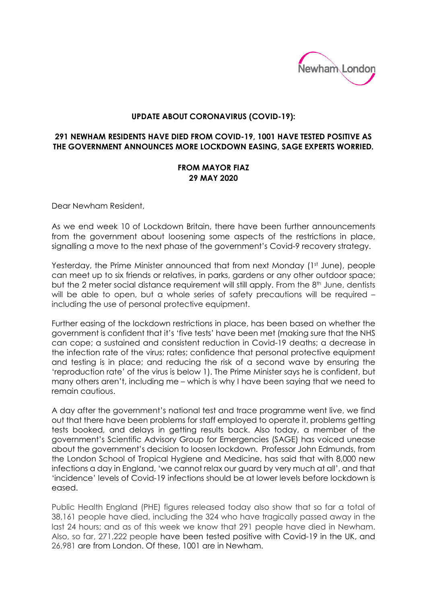

## **UPDATE ABOUT CORONAVIRUS (COVID-19):**

## **291 NEWHAM RESIDENTS HAVE DIED FROM COVID-19, 1001 HAVE TESTED POSITIVE AS THE GOVERNMENT ANNOUNCES MORE LOCKDOWN EASING, SAGE EXPERTS WORRIED.**

## **FROM MAYOR FIAZ 29 MAY 2020**

Dear Newham Resident,

As we end week 10 of Lockdown Britain, there have been further announcements from the government about loosening some aspects of the restrictions in place, signalling a move to the next phase of the government's Covid-9 recovery strategy.

Yesterday, the Prime Minister announced that from next Monday (1<sup>st</sup> June), people can meet up to six friends or relatives, in parks, gardens or any other outdoor space; but the 2 meter social distance requirement will still apply. From the 8<sup>th</sup> June, dentists will be able to open, but a whole series of safety precautions will be required including the use of personal protective equipment.

Further easing of the lockdown restrictions in place, has been based on whether the government is confident that it's 'five tests' have been met (making sure that the NHS can cope; a sustained and consistent reduction in Covid-19 deaths; a decrease in the infection rate of the virus; rates; confidence that personal protective equipment and testing is in place; and reducing the risk of a second wave by ensuring the 'reproduction rate' of the virus is below 1). The Prime Minister says he is confident, but many others aren't, including me – which is why I have been saying that we need to remain cautious.

A day after the government's national test and trace programme went live, we find out that there have been problems for staff employed to operate it, problems getting tests booked, and delays in getting results back. Also today, a member of the government's Scientific Advisory Group for Emergencies (SAGE) has voiced unease about the government's decision to loosen lockdown. Professor John Edmunds, from the London School of Tropical Hygiene and Medicine, has said that with 8,000 new infections a day in England, 'we cannot relax our guard by very much at all', and that 'incidence' levels of Covid-19 infections should be at lower levels before lockdown is eased.

Public Health England (PHE) figures released today also show that so far a total of 38,161 people have died, including the 324 who have tragically passed away in the last 24 hours; and as of this week we know that 291 people have died in Newham. Also, so far, 271,222 people have been tested positive with Covid-19 in the UK, and 26,981 are from London. Of these, 1001 are in Newham.